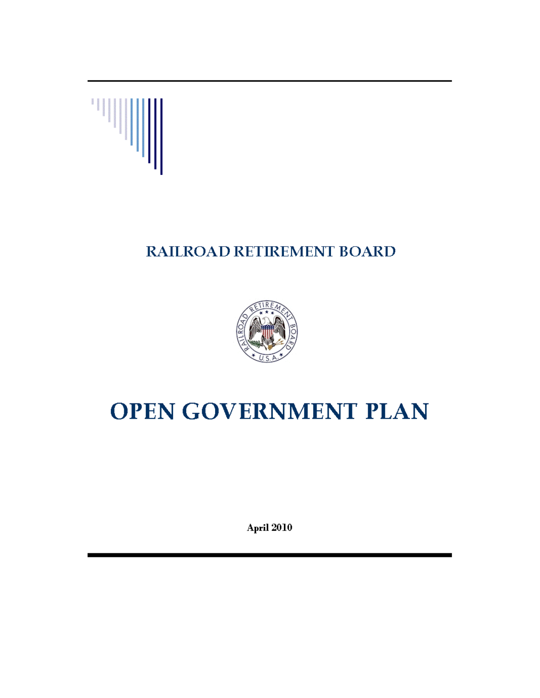

## RAILROAD RETIREMENT BOARD



# **OPEN GOVERNMENT PLAN**

April 2010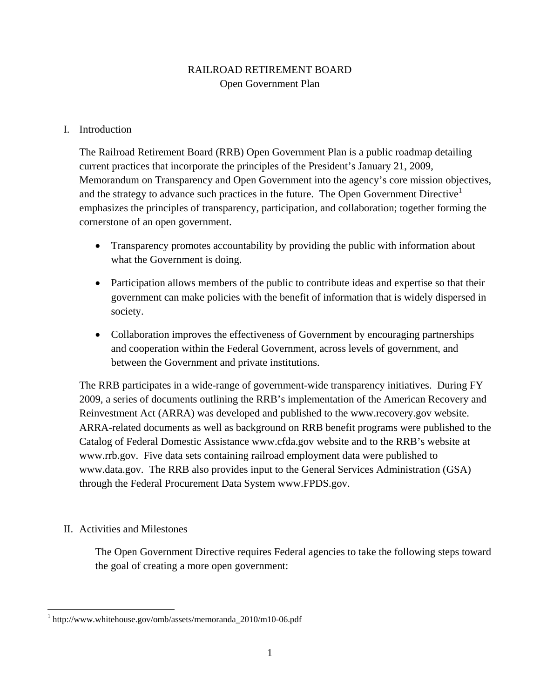#### RAILROAD RETIREMENT BOARD Open Government Plan

#### I. Introduction

The Railroad Retirement Board (RRB) Open Government Plan is a public roadmap detailing current practices that incorporate the principles of the President's January 21, 2009, Memorandum on Transparency and Open Government into the agency's core mission objectives, and the strategy to advance such practices in the future. The Open Government Directive<sup>1</sup> emphasizes the principles of transparency, participation, and collaboration; together forming the cornerstone of an open government.

- Transparency promotes accountability by providing the public with information about what the Government is doing.
- Participation allows members of the public to contribute ideas and expertise so that their government can make policies with the benefit of information that is widely dispersed in society.
- Collaboration improves the effectiveness of Government by encouraging partnerships and cooperation within the Federal Government, across levels of government, and between the Government and private institutions.

The RRB participates in a wide-range of government-wide transparency initiatives. During FY 2009, a series of documents outlining the RRB's implementation of the American Recovery and Reinvestment Act (ARRA) was developed and published to the www.recovery.gov website. ARRA-related documents as well as background on RRB benefit programs were published to the Catalog of Federal Domestic Assistance www.cfda.gov website and to the RRB's website at www.rrb.gov. Five data sets containing railroad employment data were published to www.data.gov. The RRB also provides input to the General Services Administration (GSA) through the Federal Procurement Data System www.FPDS.gov.

#### II. Activities and Milestones

The Open Government Directive requires Federal agencies to take the following steps toward the goal of creating a more open government:

 1 http://www.whitehouse.gov/omb/assets/memoranda\_2010/m10-06.pdf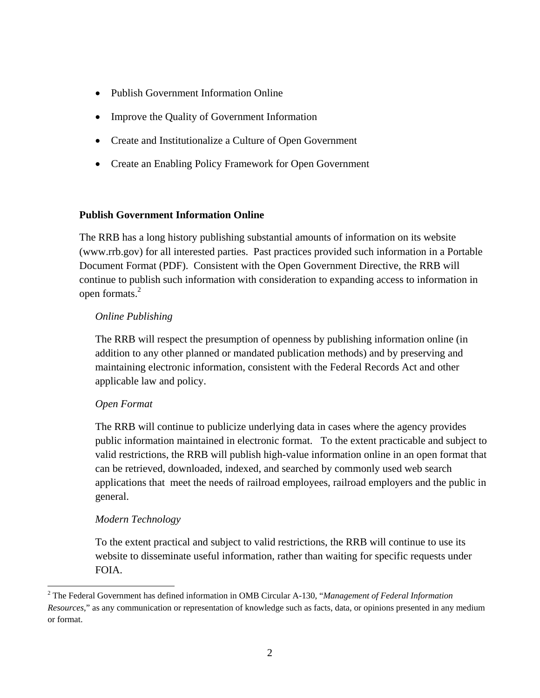- Publish Government Information Online
- Improve the Quality of Government Information
- Create and Institutionalize a Culture of Open Government
- Create an Enabling Policy Framework for Open Government

#### **Publish Government Information Online**

open formats. $2$ The RRB has a long history publishing substantial amounts of information on its website (www.rrb.gov) for all interested parties. Past practices provided such information in a Portable Document Format (PDF). Consistent with the Open Government Directive, the RRB will continue to publish such information with consideration to expanding access to information in

#### *Online Publishing*

The RRB will respect the presumption of openness by publishing information online (in addition to any other planned or mandated publication methods) and by preserving and maintaining electronic information, consistent with the Federal Records Act and other applicable law and policy.

#### *Open Format*

The RRB will continue to publicize underlying data in cases where the agency provides public information maintained in electronic format. To the extent practicable and subject to valid restrictions, the RRB will publish high-value information online in an open format that can be retrieved, downloaded, indexed, and searched by commonly used web search applications that meet the needs of railroad employees, railroad employers and the public in general.

#### *Modern Technology*

To the extent practical and subject to valid restrictions, the RRB will continue to use its website to disseminate useful information, rather than waiting for specific requests under FOIA.

<sup>2</sup> The Federal Government has defined information in OMB Circular A-130, "*Management of Federal Information Resources*," as any communication or representation of knowledge such as facts, data, or opinions presented in any medium or format.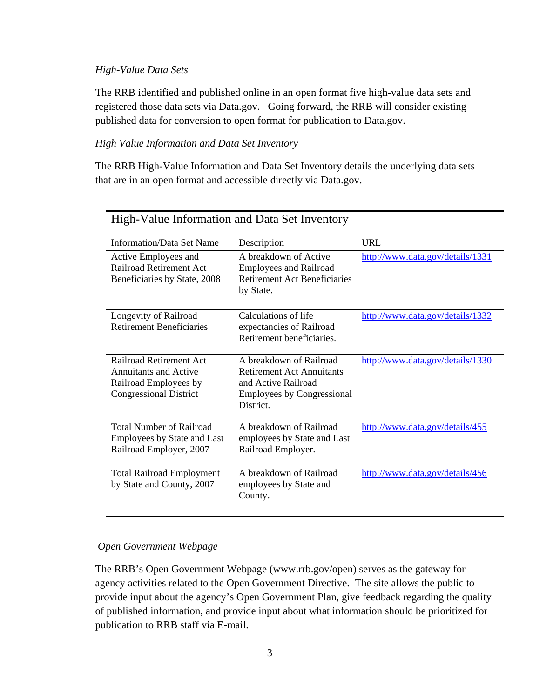#### *High-Value Data Sets*

The RRB identified and published online in an open format five high-value data sets and registered those data sets via Data.gov. Going forward, the RRB will consider existing published data for conversion to open format for publication to Data.gov.

#### *High Value Information and Data Set Inventory*

The RRB High-Value Information and Data Set Inventory details the underlying data sets that are in an open format and accessible directly via Data.gov.

| <b>Information/Data Set Name</b> | Description                         | <b>URL</b>                       |
|----------------------------------|-------------------------------------|----------------------------------|
|                                  |                                     |                                  |
| Active Employees and             | A breakdown of Active               | http://www.data.gov/details/1331 |
| Railroad Retirement Act          | <b>Employees and Railroad</b>       |                                  |
| Beneficiaries by State, 2008     | <b>Retirement Act Beneficiaries</b> |                                  |
|                                  | by State.                           |                                  |
|                                  |                                     |                                  |
| Longevity of Railroad            | Calculations of life                | http://www.data.gov/details/1332 |
| <b>Retirement Beneficiaries</b>  | expectancies of Railroad            |                                  |
|                                  | Retirement beneficiaries.           |                                  |
|                                  |                                     |                                  |
| <b>Railroad Retirement Act</b>   | A breakdown of Railroad             | http://www.data.gov/details/1330 |
| <b>Annuitants and Active</b>     | <b>Retirement Act Annuitants</b>    |                                  |
| Railroad Employees by            | and Active Railroad                 |                                  |
| <b>Congressional District</b>    | <b>Employees by Congressional</b>   |                                  |
|                                  | District.                           |                                  |
|                                  |                                     |                                  |
| <b>Total Number of Railroad</b>  | A breakdown of Railroad             | http://www.data.gov/details/455  |
| Employees by State and Last      | employees by State and Last         |                                  |
| Railroad Employer, 2007          | Railroad Employer.                  |                                  |
|                                  |                                     |                                  |
| <b>Total Railroad Employment</b> | A breakdown of Railroad             | http://www.data.gov/details/456  |
| by State and County, 2007        | employees by State and              |                                  |
|                                  | County.                             |                                  |
|                                  |                                     |                                  |
|                                  |                                     |                                  |

### High-Value Information and Data Set Inventory

#### *Open Government Webpage*

The RRB's Open Government Webpage (www.rrb.gov/open) serves as the gateway for agency activities related to the Open Government Directive. The site allows the public to provide input about the agency's Open Government Plan, give feedback regarding the quality of published information, and provide input about what information should be prioritized for publication to RRB staff via E-mail.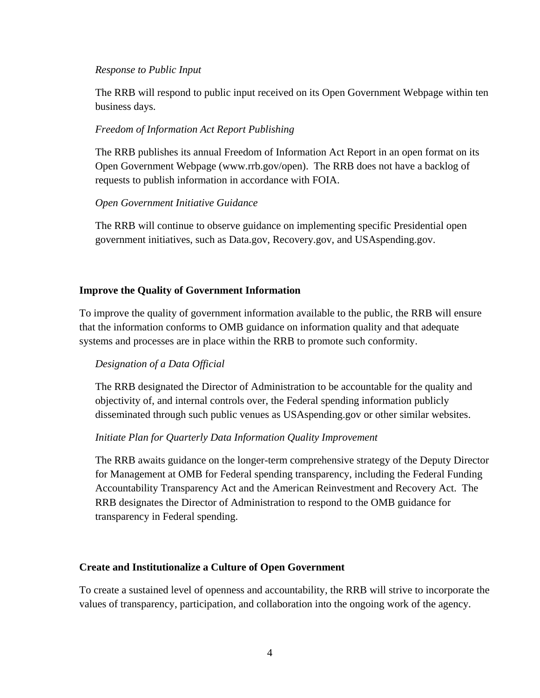#### *Response to Public Input*

The RRB will respond to public input received on its Open Government Webpage within ten business days.

#### *Freedom of Information Act Report Publishing*

The RRB publishes its annual Freedom of Information Act Report in an open format on its Open Government Webpage (www.rrb.gov/open). The RRB does not have a backlog of requests to publish information in accordance with FOIA.

#### *Open Government Initiative Guidance*

The RRB will continue to observe guidance on implementing specific Presidential open government initiatives, such as Data.gov, Recovery.gov, and USAspending.gov.

#### **Improve the Quality of Government Information**

To improve the quality of government information available to the public, the RRB will ensure that the information conforms to OMB guidance on information quality and that adequate systems and processes are in place within the RRB to promote such conformity.

#### *Designation of a Data Official*

The RRB designated the Director of Administration to be accountable for the quality and objectivity of, and internal controls over, the Federal spending information publicly disseminated through such public venues as USAspending.gov or other similar websites.

#### *Initiate Plan for Quarterly Data Information Quality Improvement*

The RRB awaits guidance on the longer-term comprehensive strategy of the Deputy Director for Management at OMB for Federal spending transparency, including the Federal Funding Accountability Transparency Act and the American Reinvestment and Recovery Act. The RRB designates the Director of Administration to respond to the OMB guidance for transparency in Federal spending.

#### **Create and Institutionalize a Culture of Open Government**

To create a sustained level of openness and accountability, the RRB will strive to incorporate the values of transparency, participation, and collaboration into the ongoing work of the agency.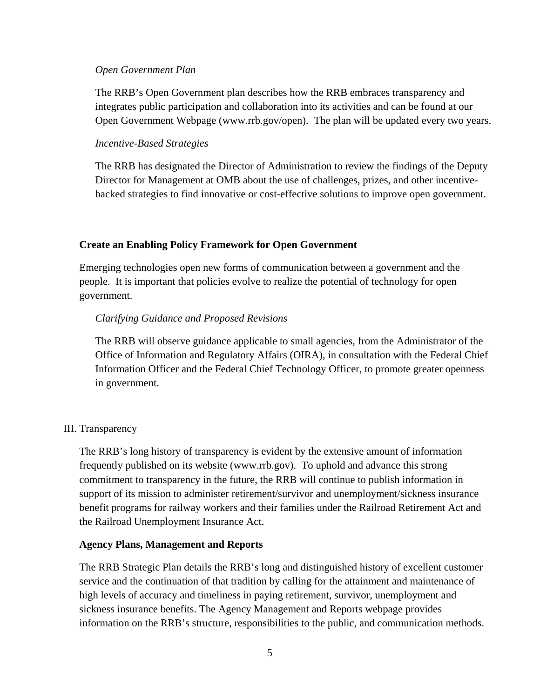#### *Open Government Plan*

The RRB's Open Government plan describes how the RRB embraces transparency and integrates public participation and collaboration into its activities and can be found at our Open Government Webpage (www.rrb.gov/open). The plan will be updated every two years.

#### *Incentive-Based Strategies*

The RRB has designated the Director of Administration to review the findings of the Deputy Director for Management at OMB about the use of challenges, prizes, and other incentivebacked strategies to find innovative or cost-effective solutions to improve open government.

#### **Create an Enabling Policy Framework for Open Government**

Emerging technologies open new forms of communication between a government and the people. It is important that policies evolve to realize the potential of technology for open government.

#### *Clarifying Guidance and Proposed Revisions*

The RRB will observe guidance applicable to small agencies, from the Administrator of the Office of Information and Regulatory Affairs (OIRA), in consultation with the Federal Chief Information Officer and the Federal Chief Technology Officer, to promote greater openness in government.

#### III. Transparency

The RRB's long history of transparency is evident by the extensive amount of information frequently published on its website (www.rrb.gov). To uphold and advance this strong commitment to transparency in the future, the RRB will continue to publish information in support of its mission to administer retirement/survivor and unemployment/sickness insurance benefit programs for railway workers and their families under the Railroad Retirement Act and the Railroad Unemployment Insurance Act.

#### **Agency Plans, Management and Reports**

The RRB Strategic Plan details the RRB's long and distinguished history of excellent customer service and the continuation of that tradition by calling for the attainment and maintenance of high levels of accuracy and timeliness in paying retirement, survivor, unemployment and sickness insurance benefits. The Agency Management and Reports webpage provides information on the RRB's structure, responsibilities to the public, and communication methods.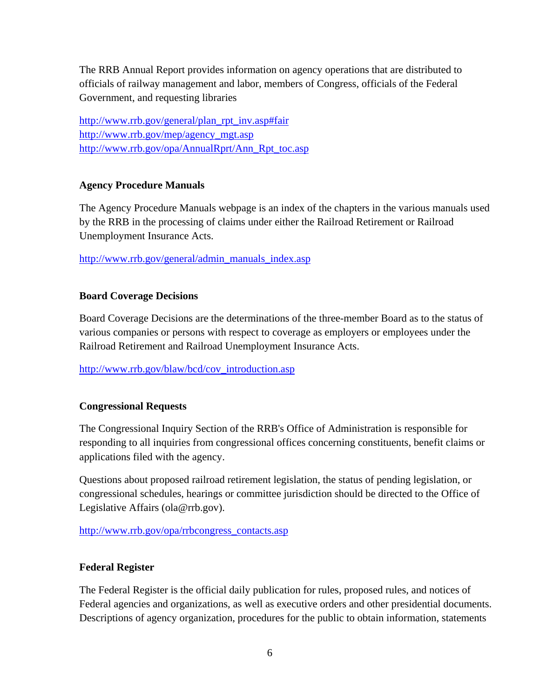The RRB Annual Report provides information on agency operations that are distributed to officials of railway management and labor, members of Congress, officials of the Federal Government, and requesting libraries

http://www.rrb.gov/mep/agency\_mgt.asp http://www.rrb.gov/general/plan\_rpt\_inv.asp#fair http://www.rrb.gov/opa/AnnualRprt/Ann\_Rpt\_toc.asp

#### **Agency Procedure Manuals**

The Agency Procedure Manuals webpage is an index of the chapters in the various manuals used by the RRB in the processing of claims under either the Railroad Retirement or Railroad Unemployment Insurance Acts.

http://www.rrb.gov/general/admin\_manuals\_index.asp

#### **Board Coverage Decisions**

Board Coverage Decisions are the determinations of the three-member Board as to the status of various companies or persons with respect to coverage as employers or employees under the Railroad Retirement and Railroad Unemployment Insurance Acts.

http://www.rrb.gov/blaw/bcd/cov\_introduction.asp

#### **Congressional Requests**

The Congressional Inquiry Section of the RRB's Office of Administration is responsible for responding to all inquiries from congressional offices concerning constituents, benefit claims or applications filed with the agency.

Questions about proposed railroad retirement legislation, the status of pending legislation, or congressional schedules, hearings or committee jurisdiction should be directed to the Office of Legislative Affairs (ola@rrb.gov).

#### http://www.rrb.gov/opa/rrbcongress\_contacts.asp

#### **Federal Register**

The Federal Register is the official daily publication for rules, proposed rules, and notices of Federal agencies and organizations, as well as executive orders and other presidential documents. Descriptions of agency organization, procedures for the public to obtain information, statements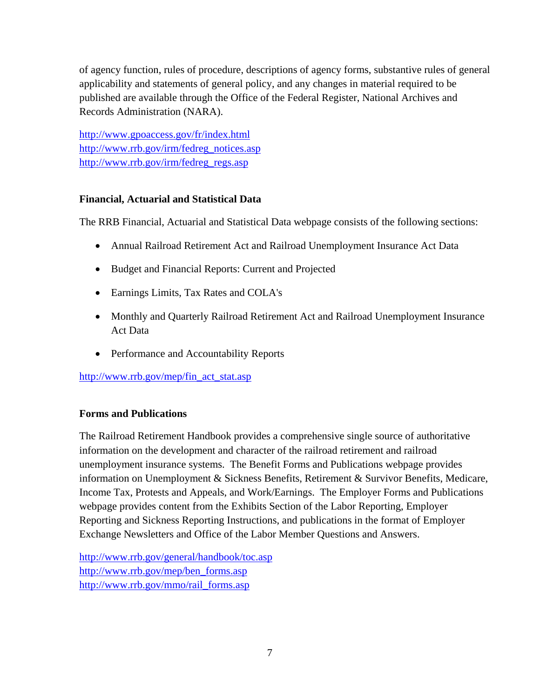of agency function, rules of procedure, descriptions of agency forms, substantive rules of general applicability and statements of general policy, and any changes in material required to be published are available through the Office of the Federal Register, National Archives and Records Administration (NARA).

http://www.gpoaccess.gov/fr/index.html j. http://www.rrb.gov/irm/fedreg\_regs.asp http://www.gpoaccess.gov/fr/index.html http://www.rrb.gov/irm/fedreg\_notices.asp http://www.rrb.gov/irm/fedreg\_regs.asp

#### **Financial, Actuarial and Statistical Data**

The RRB Financial, Actuarial and Statistical Data webpage consists of the following sections:

- Annual Railroad Retirement Act and Railroad Unemployment Insurance Act Data
- Budget and Financial Reports: Current and Projected
- Earnings Limits, Tax Rates and COLA's
- Monthly and Quarterly Railroad Retirement Act and Railroad Unemployment Insurance Act Data
- Performance and Accountability Reports

http://www.rrb.gov/mep/fin\_act\_stat.asp

#### **Forms and Publications**

The Railroad Retirement Handbook provides a comprehensive single source of authoritative information on the development and character of the railroad retirement and railroad unemployment insurance systems. The Benefit Forms and Publications webpage provides information on Unemployment & Sickness Benefits, Retirement & Survivor Benefits, Medicare, Income Tax, Protests and Appeals, and Work/Earnings. The Employer Forms and Publications webpage provides content from the Exhibits Section of the Labor Reporting, Employer Reporting and Sickness Reporting Instructions, and publications in the format of Employer Exchange Newsletters and Office of the Labor Member Questions and Answers.

 http://www.rrb.gov/general/handbook/toc.asp http://www.rrb.gov/mep/ben\_forms.asp http://www.rrb.gov/mmo/rail\_forms.asp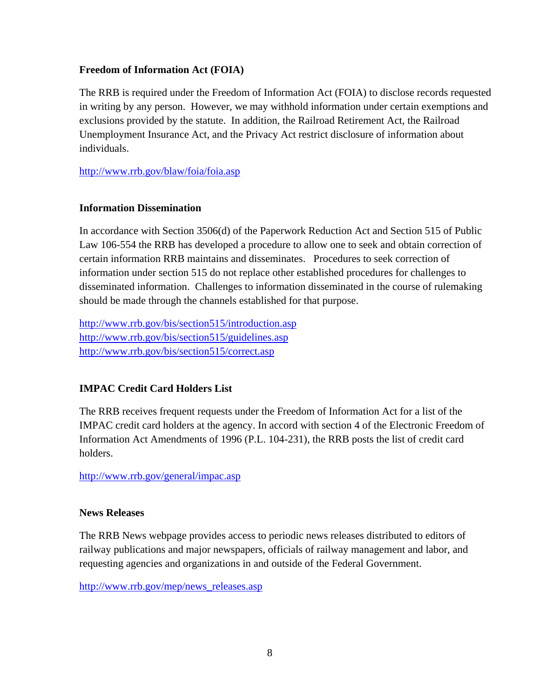#### **Freedom of Information Act (FOIA)**

The RRB is required under the Freedom of Information Act (FOIA) to disclose records requested in writing by any person. However, we may withhold information under certain exemptions and exclusions provided by the statute. In addition, the Railroad Retirement Act, the Railroad Unemployment Insurance Act, and the Privacy Act restrict disclosure of information about individuals.

http://www.rrb.gov/blaw/foia/foia.asp

#### **Information Dissemination**

In accordance with Section 3506(d) of the Paperwork Reduction Act and Section 515 of Public Law 106-554 the RRB has developed a procedure to allow one to seek and obtain correction of certain information RRB maintains and disseminates. Procedures to seek correction of information under section 515 do not replace other established procedures for challenges to disseminated information. Challenges to information disseminated in the course of rulemaking should be made through the channels established for that purpose.

http://www.rrb.gov/bis/section515/introduction.asp http://www.rrb.gov/bis/section515/correct.asp http://www.rrb.gov/bis/section515/guidelines.asp

#### **IMPAC Credit Card Holders List**

The RRB receives frequent requests under the Freedom of Information Act for a list of the IMPAC credit card holders at the agency. In accord with section 4 of the Electronic Freedom of Information Act Amendments of 1996 (P.L. 104-231), the RRB posts the list of credit card holders.

http://www.rrb.gov/general/impac.asp

#### **News Releases**

The RRB News webpage provides access to periodic news releases distributed to editors of railway publications and major newspapers, officials of railway management and labor, and requesting agencies and organizations in and outside of the Federal Government.

http://www.rrb.gov/mep/news\_releases.asp <br>8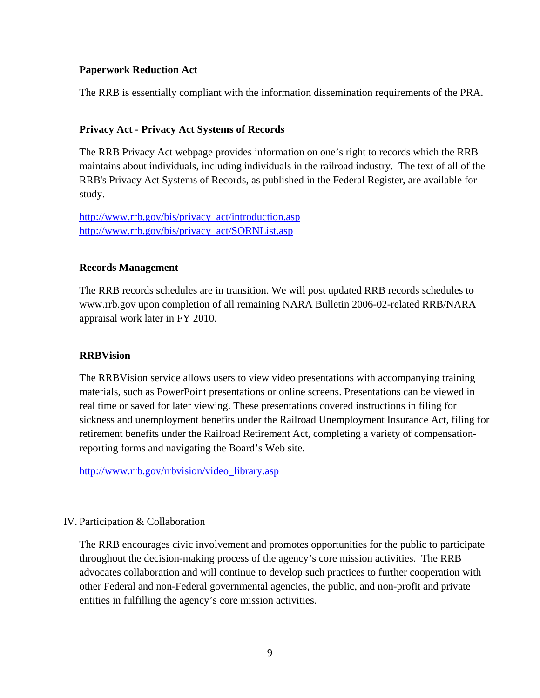#### **Paperwork Reduction Act**

The RRB is essentially compliant with the information dissemination requirements of the PRA.

#### **Privacy Act - Privacy Act Systems of Records**

The RRB Privacy Act webpage provides information on one's right to records which the RRB maintains about individuals, including individuals in the railroad industry. The text of all of the RRB's Privacy Act Systems of Records, as published in the Federal Register, are available for study.

 http://www.rrb.gov/bis/privacy\_act/introduction.asp http://www.rrb.gov/bis/privacy\_act/SORNList.asp

#### **Records Management**

The RRB records schedules are in transition. We will post updated RRB records schedules to www.rrb.gov upon completion of all remaining NARA Bulletin 2006-02-related RRB/NARA appraisal work later in FY 2010.

#### **RRBVision**

The RRBVision service allows users to view video presentations with accompanying training materials, such as PowerPoint presentations or online screens. Presentations can be viewed in real time or saved for later viewing. These presentations covered instructions in filing for sickness and unemployment benefits under the Railroad Unemployment Insurance Act, filing for retirement benefits under the Railroad Retirement Act, completing a variety of compensationreporting forms and navigating the Board's Web site.

http://www.rrb.gov/rrbvision/video\_library.asp

#### IV. Participation & Collaboration

The RRB encourages civic involvement and promotes opportunities for the public to participate throughout the decision-making process of the agency's core mission activities. The RRB advocates collaboration and will continue to develop such practices to further cooperation with other Federal and non-Federal governmental agencies, the public, and non-profit and private entities in fulfilling the agency's core mission activities.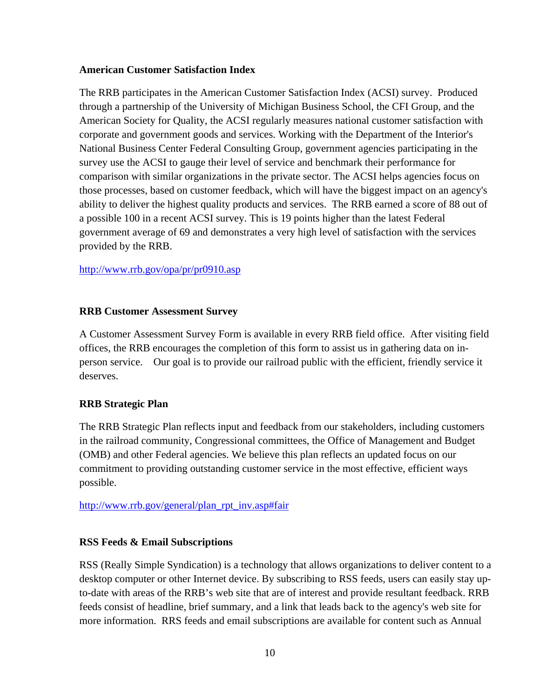#### **American Customer Satisfaction Index**

The RRB participates in the American Customer Satisfaction Index (ACSI) survey. Produced through a partnership of the University of Michigan Business School, the CFI Group, and the American Society for Quality, the ACSI regularly measures national customer satisfaction with corporate and government goods and services. Working with the Department of the Interior's National Business Center Federal Consulting Group, government agencies participating in the survey use the ACSI to gauge their level of service and benchmark their performance for comparison with similar organizations in the private sector. The ACSI helps agencies focus on those processes, based on customer feedback, which will have the biggest impact on an agency's ability to deliver the highest quality products and services. The RRB earned a score of 88 out of a possible 100 in a recent ACSI survey. This is 19 points higher than the latest Federal government average of 69 and demonstrates a very high level of satisfaction with the services provided by the RRB.

#### http://www.rrb.gov/opa/pr/pr0910.asp

#### **RRB Customer Assessment Survey**

 person service. Our goal is to provide our railroad public with the efficient, friendly service it A Customer Assessment Survey Form is available in every RRB field office. After visiting field offices, the RRB encourages the completion of this form to assist us in gathering data on indeserves.

#### **RRB Strategic Plan**

The RRB Strategic Plan reflects input and feedback from our stakeholders, including customers in the railroad community, Congressional committees, the Office of Management and Budget (OMB) and other Federal agencies. We believe this plan reflects an updated focus on our commitment to providing outstanding customer service in the most effective, efficient ways possible.

#### http://www.rrb.gov/general/plan\_rpt\_inv.asp#fair

#### **RSS Feeds & Email Subscriptions**

RSS (Really Simple Syndication) is a technology that allows organizations to deliver content to a desktop computer or other Internet device. By subscribing to RSS feeds, users can easily stay upto-date with areas of the RRB's web site that are of interest and provide resultant feedback. RRB feeds consist of headline, brief summary, and a link that leads back to the agency's web site for more information. RRS feeds and email subscriptions are available for content such as Annual